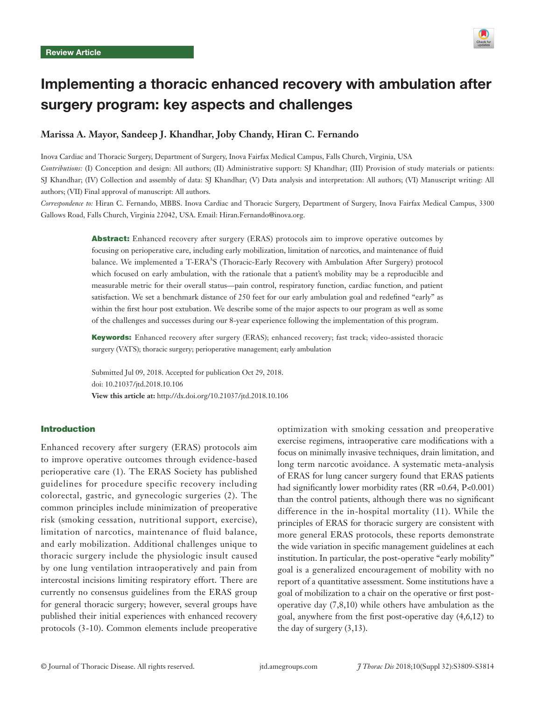

# Implementing a thoracic enhanced recovery with ambulation after surgery program: key aspects and challenges

## **Marissa A. Mayor, Sandeep J. Khandhar, Joby Chandy, Hiran C. Fernando**

Inova Cardiac and Thoracic Surgery, Department of Surgery, Inova Fairfax Medical Campus, Falls Church, Virginia, USA *Contributions:* (I) Conception and design: All authors; (II) Administrative support: SJ Khandhar; (III) Provision of study materials or patients: SJ Khandhar; (IV) Collection and assembly of data: SJ Khandhar; (V) Data analysis and interpretation: All authors; (VI) Manuscript writing: All authors; (VII) Final approval of manuscript: All authors.

*Correspondence to:* Hiran C. Fernando, MBBS. Inova Cardiac and Thoracic Surgery, Department of Surgery, Inova Fairfax Medical Campus, 3300 Gallows Road, Falls Church, Virginia 22042, USA. Email: Hiran.Fernando@inova.org.

> Abstract: Enhanced recovery after surgery (ERAS) protocols aim to improve operative outcomes by focusing on perioperative care, including early mobilization, limitation of narcotics, and maintenance of fluid balance. We implemented a T-ERA<sup>A</sup>S (Thoracic-Early Recovery with Ambulation After Surgery) protocol which focused on early ambulation, with the rationale that a patient's mobility may be a reproducible and measurable metric for their overall status—pain control, respiratory function, cardiac function, and patient satisfaction. We set a benchmark distance of 250 feet for our early ambulation goal and redefined "early" as within the first hour post extubation. We describe some of the major aspects to our program as well as some of the challenges and successes during our 8-year experience following the implementation of this program.

> Keywords: Enhanced recovery after surgery (ERAS); enhanced recovery; fast track; video-assisted thoracic surgery (VATS); thoracic surgery; perioperative management; early ambulation

Submitted Jul 09, 2018. Accepted for publication Oct 29, 2018. doi: 10.21037/jtd.2018.10.106 **View this article at:** http://dx.doi.org/10.21037/jtd.2018.10.106

## Introduction

Enhanced recovery after surgery (ERAS) protocols aim to improve operative outcomes through evidence-based perioperative care (1). The ERAS Society has published guidelines for procedure specific recovery including colorectal, gastric, and gynecologic surgeries (2). The common principles include minimization of preoperative risk (smoking cessation, nutritional support, exercise), limitation of narcotics, maintenance of fluid balance, and early mobilization. Additional challenges unique to thoracic surgery include the physiologic insult caused by one lung ventilation intraoperatively and pain from intercostal incisions limiting respiratory effort. There are currently no consensus guidelines from the ERAS group for general thoracic surgery; however, several groups have published their initial experiences with enhanced recovery protocols (3-10). Common elements include preoperative

optimization with smoking cessation and preoperative exercise regimens, intraoperative care modifications with a focus on minimally invasive techniques, drain limitation, and long term narcotic avoidance. A systematic meta-analysis of ERAS for lung cancer surgery found that ERAS patients had significantly lower morbidity rates  $(RR = 0.64, P < 0.001)$ than the control patients, although there was no significant difference in the in-hospital mortality (11). While the principles of ERAS for thoracic surgery are consistent with more general ERAS protocols, these reports demonstrate the wide variation in specific management guidelines at each institution. In particular, the post-operative "early mobility" goal is a generalized encouragement of mobility with no report of a quantitative assessment. Some institutions have a goal of mobilization to a chair on the operative or first postoperative day (7,8,10) while others have ambulation as the goal, anywhere from the first post-operative day (4,6,12) to the day of surgery  $(3,13)$ .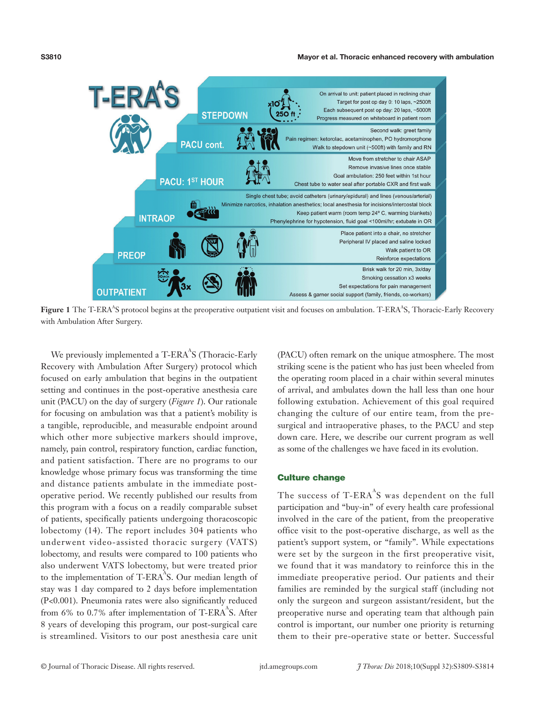#### Mayor et al. Thoracic enhanced recovery with ambulation



Figure 1 The T-ERA<sup>A</sup>S protocol begins at the preoperative outpatient visit and focuses on ambulation. T-ERA<sup>A</sup>S, Thoracic-Early Recovery with Ambulation After Surgery.

We previously implemented a T-ERA $\rm ^{A}S$  (Thoracic-Early Recovery with Ambulation After Surgery) protocol which focused on early ambulation that begins in the outpatient setting and continues in the post-operative anesthesia care unit (PACU) on the day of surgery (*Figure 1*). Our rationale for focusing on ambulation was that a patient's mobility is a tangible, reproducible, and measurable endpoint around which other more subjective markers should improve, namely, pain control, respiratory function, cardiac function, and patient satisfaction. There are no programs to our knowledge whose primary focus was transforming the time and distance patients ambulate in the immediate postoperative period. We recently published our results from this program with a focus on a readily comparable subset of patients, specifically patients undergoing thoracoscopic lobectomy (14). The report includes 304 patients who underwent video-assisted thoracic surgery (VATS) lobectomy, and results were compared to 100 patients who also underwent VATS lobectomy, but were treated prior to the implementation of T-ERA $^{A}$ S. Our median length of stay was 1 day compared to 2 days before implementation (P<0.001). Pneumonia rates were also significantly reduced from 6% to 0.7% after implementation of T-ERA $^{A}$ S. After 8 years of developing this program, our post-surgical care is streamlined. Visitors to our post anesthesia care unit

(PACU) often remark on the unique atmosphere. The most striking scene is the patient who has just been wheeled from the operating room placed in a chair within several minutes of arrival, and ambulates down the hall less than one hour following extubation. Achievement of this goal required changing the culture of our entire team, from the presurgical and intraoperative phases, to the PACU and step down care. Here, we describe our current program as well as some of the challenges we have faced in its evolution.

#### Culture change

The success of T- $ERA^A S$  was dependent on the full participation and "buy-in" of every health care professional involved in the care of the patient, from the preoperative office visit to the post-operative discharge, as well as the patient's support system, or "family". While expectations were set by the surgeon in the first preoperative visit, we found that it was mandatory to reinforce this in the immediate preoperative period. Our patients and their families are reminded by the surgical staff (including not only the surgeon and surgeon assistant/resident, but the preoperative nurse and operating team that although pain control is important, our number one priority is returning them to their pre-operative state or better. Successful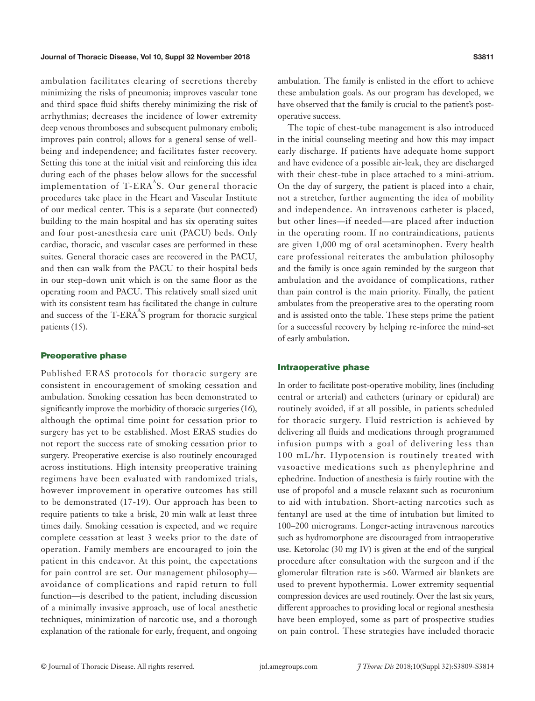## Journal of Thoracic Disease, Vol 10, Suppl 32 November 2018 S3811 Studies and S3811

ambulation facilitates clearing of secretions thereby minimizing the risks of pneumonia; improves vascular tone and third space fluid shifts thereby minimizing the risk of arrhythmias; decreases the incidence of lower extremity deep venous thromboses and subsequent pulmonary emboli; improves pain control; allows for a general sense of wellbeing and independence; and facilitates faster recovery. Setting this tone at the initial visit and reinforcing this idea during each of the phases below allows for the successful implementation of T-ERA $^{\text{A}}$ S. Our general thoracic procedures take place in the Heart and Vascular Institute of our medical center. This is a separate (but connected) building to the main hospital and has six operating suites and four post-anesthesia care unit (PACU) beds. Only cardiac, thoracic, and vascular cases are performed in these suites. General thoracic cases are recovered in the PACU, and then can walk from the PACU to their hospital beds in our step-down unit which is on the same floor as the operating room and PACU. This relatively small sized unit with its consistent team has facilitated the change in culture and success of the T-ERA $^{A}S$  program for thoracic surgical patients (15).

### Preoperative phase

Published ERAS protocols for thoracic surgery are consistent in encouragement of smoking cessation and ambulation. Smoking cessation has been demonstrated to significantly improve the morbidity of thoracic surgeries (16), although the optimal time point for cessation prior to surgery has yet to be established. Most ERAS studies do not report the success rate of smoking cessation prior to surgery. Preoperative exercise is also routinely encouraged across institutions. High intensity preoperative training regimens have been evaluated with randomized trials, however improvement in operative outcomes has still to be demonstrated (17-19). Our approach has been to require patients to take a brisk, 20 min walk at least three times daily. Smoking cessation is expected, and we require complete cessation at least 3 weeks prior to the date of operation. Family members are encouraged to join the patient in this endeavor. At this point, the expectations for pain control are set. Our management philosophy avoidance of complications and rapid return to full function—is described to the patient, including discussion of a minimally invasive approach, use of local anesthetic techniques, minimization of narcotic use, and a thorough explanation of the rationale for early, frequent, and ongoing ambulation. The family is enlisted in the effort to achieve these ambulation goals. As our program has developed, we have observed that the family is crucial to the patient's postoperative success.

The topic of chest-tube management is also introduced in the initial counseling meeting and how this may impact early discharge. If patients have adequate home support and have evidence of a possible air-leak, they are discharged with their chest-tube in place attached to a mini-atrium. On the day of surgery, the patient is placed into a chair, not a stretcher, further augmenting the idea of mobility and independence. An intravenous catheter is placed, but other lines—if needed—are placed after induction in the operating room. If no contraindications, patients are given 1,000 mg of oral acetaminophen. Every health care professional reiterates the ambulation philosophy and the family is once again reminded by the surgeon that ambulation and the avoidance of complications, rather than pain control is the main priority. Finally, the patient ambulates from the preoperative area to the operating room and is assisted onto the table. These steps prime the patient for a successful recovery by helping re-inforce the mind-set of early ambulation.

#### Intraoperative phase

In order to facilitate post-operative mobility, lines (including central or arterial) and catheters (urinary or epidural) are routinely avoided, if at all possible, in patients scheduled for thoracic surgery. Fluid restriction is achieved by delivering all fluids and medications through programmed infusion pumps with a goal of delivering less than 100 mL/hr. Hypotension is routinely treated with vasoactive medications such as phenylephrine and ephedrine. Induction of anesthesia is fairly routine with the use of propofol and a muscle relaxant such as rocuronium to aid with intubation. Short-acting narcotics such as fentanyl are used at the time of intubation but limited to 100–200 micrograms. Longer-acting intravenous narcotics such as hydromorphone are discouraged from intraoperative use. Ketorolac (30 mg IV) is given at the end of the surgical procedure after consultation with the surgeon and if the glomerular filtration rate is >60. Warmed air blankets are used to prevent hypothermia. Lower extremity sequential compression devices are used routinely. Over the last six years, different approaches to providing local or regional anesthesia have been employed, some as part of prospective studies on pain control. These strategies have included thoracic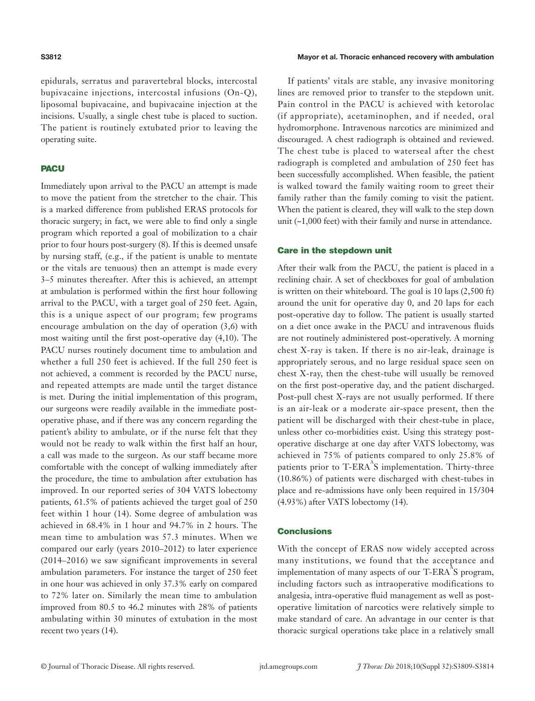epidurals, serratus and paravertebral blocks, intercostal bupivacaine injections, intercostal infusions (On-Q), liposomal bupivacaine, and bupivacaine injection at the incisions. Usually, a single chest tube is placed to suction. The patient is routinely extubated prior to leaving the operating suite.

#### **PACU**

Immediately upon arrival to the PACU an attempt is made to move the patient from the stretcher to the chair. This is a marked difference from published ERAS protocols for thoracic surgery; in fact, we were able to find only a single program which reported a goal of mobilization to a chair prior to four hours post-surgery (8). If this is deemed unsafe by nursing staff, (e.g., if the patient is unable to mentate or the vitals are tenuous) then an attempt is made every 3–5 minutes thereafter. After this is achieved, an attempt at ambulation is performed within the first hour following arrival to the PACU, with a target goal of 250 feet. Again, this is a unique aspect of our program; few programs encourage ambulation on the day of operation (3,6) with most waiting until the first post-operative day (4,10). The PACU nurses routinely document time to ambulation and whether a full 250 feet is achieved. If the full 250 feet is not achieved, a comment is recorded by the PACU nurse, and repeated attempts are made until the target distance is met. During the initial implementation of this program, our surgeons were readily available in the immediate postoperative phase, and if there was any concern regarding the patient's ability to ambulate, or if the nurse felt that they would not be ready to walk within the first half an hour, a call was made to the surgeon. As our staff became more comfortable with the concept of walking immediately after the procedure, the time to ambulation after extubation has improved. In our reported series of 304 VATS lobectomy patients, 61.5% of patients achieved the target goal of 250 feet within 1 hour (14). Some degree of ambulation was achieved in 68.4% in 1 hour and 94.7% in 2 hours. The mean time to ambulation was 57.3 minutes. When we compared our early (years 2010–2012) to later experience (2014–2016) we saw significant improvements in several ambulation parameters. For instance the target of 250 feet in one hour was achieved in only 37.3% early on compared to 72% later on. Similarly the mean time to ambulation improved from 80.5 to 46.2 minutes with 28% of patients ambulating within 30 minutes of extubation in the most recent two years (14).

#### Mayor et al. Thoracic enhanced recovery with ambulation

If patients' vitals are stable, any invasive monitoring lines are removed prior to transfer to the stepdown unit. Pain control in the PACU is achieved with ketorolac (if appropriate), acetaminophen, and if needed, oral hydromorphone. Intravenous narcotics are minimized and discouraged. A chest radiograph is obtained and reviewed. The chest tube is placed to waterseal after the chest radiograph is completed and ambulation of 250 feet has been successfully accomplished. When feasible, the patient is walked toward the family waiting room to greet their family rather than the family coming to visit the patient. When the patient is cleared, they will walk to the step down unit (~1,000 feet) with their family and nurse in attendance.

## Care in the stepdown unit

After their walk from the PACU, the patient is placed in a reclining chair. A set of checkboxes for goal of ambulation is written on their whiteboard. The goal is 10 laps (2,500 ft) around the unit for operative day 0, and 20 laps for each post-operative day to follow. The patient is usually started on a diet once awake in the PACU and intravenous fluids are not routinely administered post-operatively. A morning chest X-ray is taken. If there is no air-leak, drainage is appropriately serous, and no large residual space seen on chest X-ray, then the chest-tube will usually be removed on the first post-operative day, and the patient discharged. Post-pull chest X-rays are not usually performed. If there is an air-leak or a moderate air-space present, then the patient will be discharged with their chest-tube in place, unless other co-morbidities exist. Using this strategy postoperative discharge at one day after VATS lobectomy, was achieved in 75% of patients compared to only 25.8% of patients prior to T-ERA<sup>A</sup>S implementation. Thirty-three (10.86%) of patients were discharged with chest-tubes in place and re-admissions have only been required in 15/304 (4.93%) after VATS lobectomy (14).

## **Conclusions**

With the concept of ERAS now widely accepted across many institutions, we found that the acceptance and implementation of many aspects of our T-ERA $^A$ S program, including factors such as intraoperative modifications to analgesia, intra-operative fluid management as well as postoperative limitation of narcotics were relatively simple to make standard of care. An advantage in our center is that thoracic surgical operations take place in a relatively small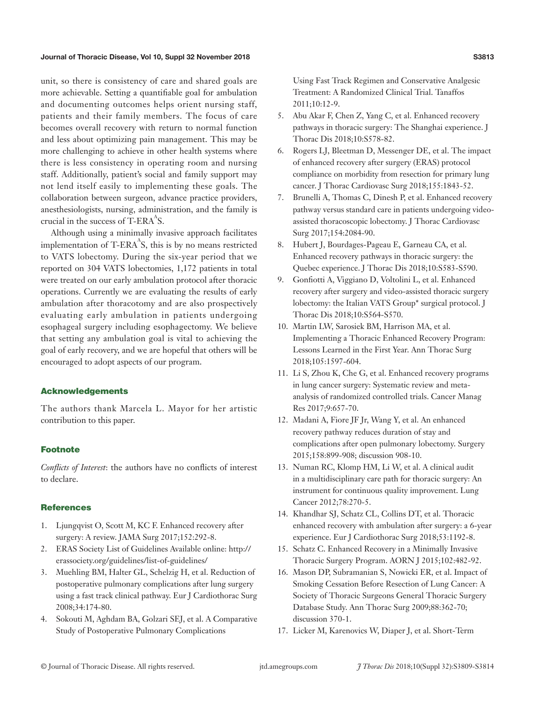## Journal of Thoracic Disease, Vol 10, Suppl 32 November 2018 S3813 States of States S3813

unit, so there is consistency of care and shared goals are more achievable. Setting a quantifiable goal for ambulation and documenting outcomes helps orient nursing staff, patients and their family members. The focus of care becomes overall recovery with return to normal function and less about optimizing pain management. This may be more challenging to achieve in other health systems where there is less consistency in operating room and nursing staff. Additionally, patient's social and family support may not lend itself easily to implementing these goals. The collaboration between surgeon, advance practice providers, anesthesiologists, nursing, administration, and the family is crucial in the success of  $T$ -ERA $^{A}$ S.

Although using a minimally invasive approach facilitates implementation of T-ERA $^{A}S$ , this is by no means restricted to VATS lobectomy. During the six-year period that we reported on 304 VATS lobectomies, 1,172 patients in total were treated on our early ambulation protocol after thoracic operations. Currently we are evaluating the results of early ambulation after thoracotomy and are also prospectively evaluating early ambulation in patients undergoing esophageal surgery including esophagectomy. We believe that setting any ambulation goal is vital to achieving the goal of early recovery, and we are hopeful that others will be encouraged to adopt aspects of our program.

## Acknowledgements

The authors thank Marcela L. Mayor for her artistic contribution to this paper.

#### Footnote

*Conflicts of Interest*: the authors have no conflicts of interest to declare.

## **References**

- 1. Ljungqvist O, Scott M, KC F. Enhanced recovery after surgery: A review. JAMA Surg 2017;152:292-8.
- 2. ERAS Society List of Guidelines Available online: http:// erassociety.org/guidelines/list-of-guidelines/
- 3. Muehling BM, Halter GL, Schelzig H, et al. Reduction of postoperative pulmonary complications after lung surgery using a fast track clinical pathway. Eur J Cardiothorac Surg 2008;34:174-80.
- 4. Sokouti M, Aghdam BA, Golzari SEJ, et al. A Comparative Study of Postoperative Pulmonary Complications

Using Fast Track Regimen and Conservative Analgesic Treatment: A Randomized Clinical Trial. Tanaffos 2011;10:12-9.

- 5. Abu Akar F, Chen Z, Yang C, et al. Enhanced recovery pathways in thoracic surgery: The Shanghai experience. J Thorac Dis 2018;10:S578-82.
- 6. Rogers LJ, Bleetman D, Messenger DE, et al. The impact of enhanced recovery after surgery (ERAS) protocol compliance on morbidity from resection for primary lung cancer. J Thorac Cardiovasc Surg 2018;155:1843-52.
- 7. Brunelli A, Thomas C, Dinesh P, et al. Enhanced recovery pathway versus standard care in patients undergoing videoassisted thoracoscopic lobectomy. J Thorac Cardiovasc Surg 2017;154:2084-90.
- 8. Hubert J, Bourdages-Pageau E, Garneau CA, et al. Enhanced recovery pathways in thoracic surgery: the Quebec experience. J Thorac Dis 2018;10:S583-S590.
- 9. Gonfiotti A, Viggiano D, Voltolini L, et al. Enhanced recovery after surgery and video-assisted thoracic surgery lobectomy: the Italian VATS Group\* surgical protocol. J Thorac Dis 2018;10:S564-S570.
- 10. Martin LW, Sarosiek BM, Harrison MA, et al. Implementing a Thoracic Enhanced Recovery Program: Lessons Learned in the First Year. Ann Thorac Surg 2018;105:1597-604.
- 11. Li S, Zhou K, Che G, et al. Enhanced recovery programs in lung cancer surgery: Systematic review and metaanalysis of randomized controlled trials. Cancer Manag Res 2017;9:657-70.
- 12. Madani A, Fiore JF Jr, Wang Y, et al. An enhanced recovery pathway reduces duration of stay and complications after open pulmonary lobectomy. Surgery 2015;158:899-908; discussion 908-10.
- 13. Numan RC, Klomp HM, Li W, et al. A clinical audit in a multidisciplinary care path for thoracic surgery: An instrument for continuous quality improvement. Lung Cancer 2012;78:270-5.
- 14. Khandhar SJ, Schatz CL, Collins DT, et al. Thoracic enhanced recovery with ambulation after surgery: a 6-year experience. Eur J Cardiothorac Surg 2018;53:1192-8.
- 15. Schatz C. Enhanced Recovery in a Minimally Invasive Thoracic Surgery Program. AORN J 2015;102:482-92.
- 16. Mason DP, Subramanian S, Nowicki ER, et al. Impact of Smoking Cessation Before Resection of Lung Cancer: A Society of Thoracic Surgeons General Thoracic Surgery Database Study. Ann Thorac Surg 2009;88:362-70; discussion 370-1.
- 17. Licker M, Karenovics W, Diaper J, et al. Short-Term